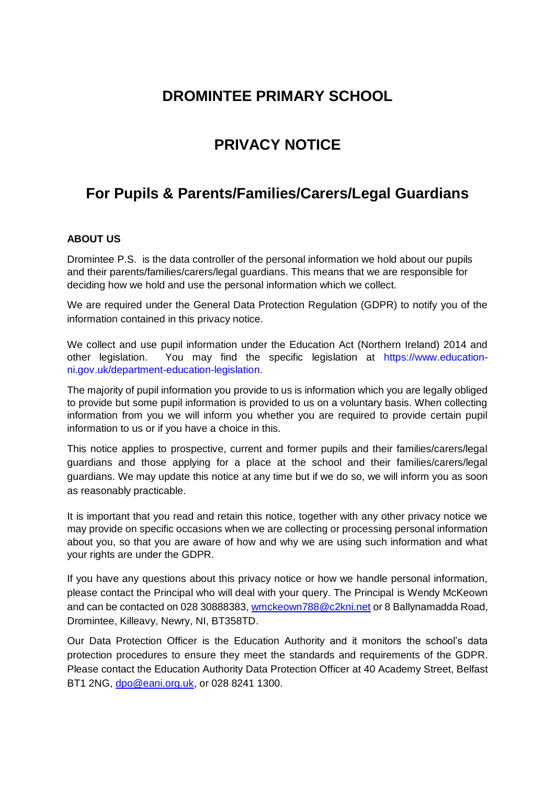# **DROMINTEE PRIMARY SCHOOL**

# **PRIVACY NOTICE**

# **For Pupils & Parents/Families/Carers/Legal Guardians**

# **ABOUT US**

Dromintee P.S. is the data controller of the personal information we hold about our pupils and their parents/families/carers/legal guardians. This means that we are responsible for deciding how we hold and use the personal information which we collect.

We are required under the General Data Protection Regulation (GDPR) to notify you of the information contained in this privacy notice.

We collect and use pupil information under the Education Act (Northern Ireland) 2014 and other legislation. You may find the specific legislation at https://www.educationni.gov.uk/department-education-legislation.

The majority of pupil information you provide to us is information which you are legally obliged to provide but some pupil information is provided to us on a voluntary basis. When collecting information from you we will inform you whether you are required to provide certain pupil information to us or if you have a choice in this.

This notice applies to prospective, current and former pupils and their families/carers/legal guardians and those applying for a place at the school and their families/carers/legal guardians. We may update this notice at any time but if we do so, we will inform you as soon as reasonably practicable.

It is important that you read and retain this notice, together with any other privacy notice we may provide on specific occasions when we are collecting or processing personal information about you, so that you are aware of how and why we are using such information and what your rights are under the GDPR.

If you have any questions about this privacy notice or how we handle personal information, please contact the Principal who will deal with your query. The Principal is Wendy McKeown and can be contacted on 028 30888383[, wmckeown788@c2kni.net](mailto:wmckeown788@c2kni.net) or 8 Ballynamadda Road, Dromintee, Killeavy, Newry, NI, BT358TD.

Our Data Protection Officer is the Education Authority and it monitors the school's data protection procedures to ensure they meet the standards and requirements of the GDPR. Please contact the Education Authority Data Protection Officer at 40 Academy Street, Belfast BT1 2NG, [dpo@eani.org.uk,](mailto:dpo@eani.org.uk) or 028 8241 1300.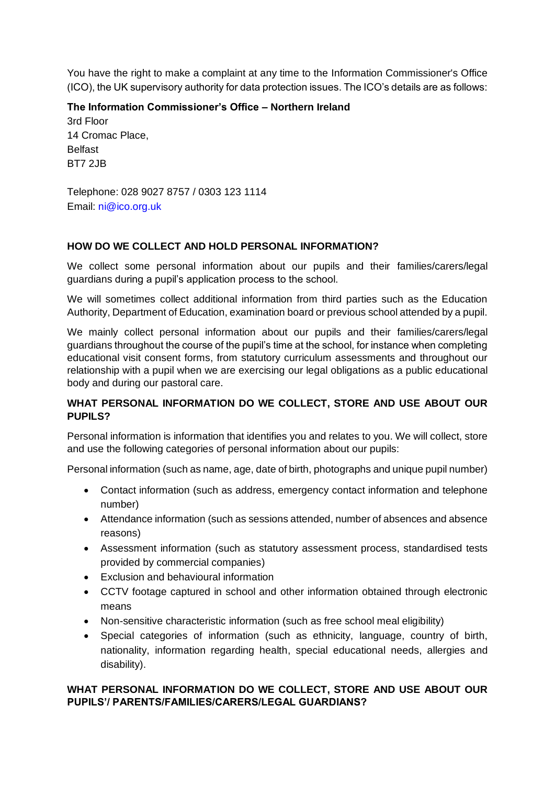You have the right to make a complaint at any time to the Information Commissioner's Office (ICO), the UK supervisory authority for data protection issues. The ICO's details are as follows:

**The Information Commissioner's Office – Northern Ireland** 3rd Floor 14 Cromac Place, Belfast BT7 2JB

Telephone: 028 9027 8757 / 0303 123 1114 Email: ni@ico.org.uk

## **HOW DO WE COLLECT AND HOLD PERSONAL INFORMATION?**

We collect some personal information about our pupils and their families/carers/legal guardians during a pupil's application process to the school.

We will sometimes collect additional information from third parties such as the Education Authority, Department of Education, examination board or previous school attended by a pupil.

We mainly collect personal information about our pupils and their families/carers/legal guardians throughout the course of the pupil's time at the school, for instance when completing educational visit consent forms, from statutory curriculum assessments and throughout our relationship with a pupil when we are exercising our legal obligations as a public educational body and during our pastoral care.

## **WHAT PERSONAL INFORMATION DO WE COLLECT, STORE AND USE ABOUT OUR PUPILS?**

Personal information is information that identifies you and relates to you. We will collect, store and use the following categories of personal information about our pupils:

Personal information (such as name, age, date of birth, photographs and unique pupil number)

- Contact information (such as address, emergency contact information and telephone number)
- Attendance information (such as sessions attended, number of absences and absence reasons)
- Assessment information (such as statutory assessment process, standardised tests provided by commercial companies)
- Exclusion and behavioural information
- CCTV footage captured in school and other information obtained through electronic means
- Non-sensitive characteristic information (such as free school meal eligibility)
- Special categories of information (such as ethnicity, language, country of birth, nationality, information regarding health, special educational needs, allergies and disability).

## **WHAT PERSONAL INFORMATION DO WE COLLECT, STORE AND USE ABOUT OUR PUPILS'/ PARENTS/FAMILIES/CARERS/LEGAL GUARDIANS?**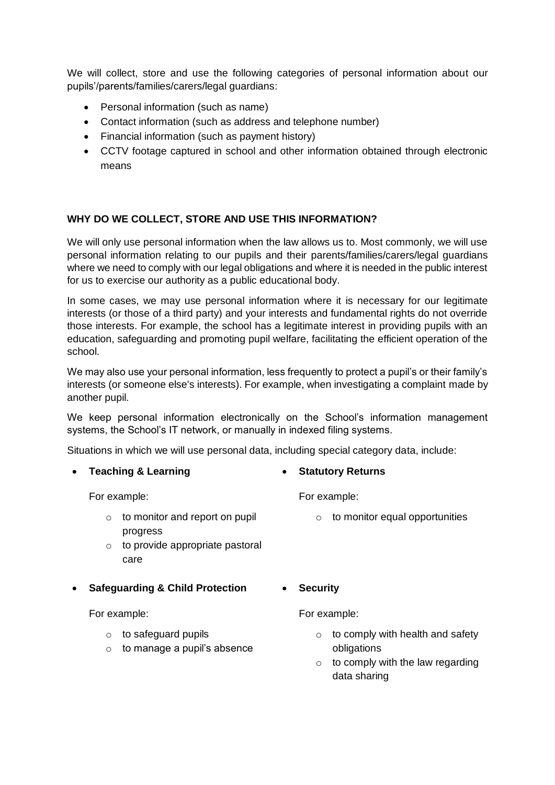We will collect, store and use the following categories of personal information about our pupils'/parents/families/carers/legal guardians:

- Personal information (such as name)
- Contact information (such as address and telephone number)
- Financial information (such as payment history)
- CCTV footage captured in school and other information obtained through electronic means

#### **WHY DO WE COLLECT, STORE AND USE THIS INFORMATION?**

We will only use personal information when the law allows us to. Most commonly, we will use personal information relating to our pupils and their parents/families/carers/legal guardians where we need to comply with our legal obligations and where it is needed in the public interest for us to exercise our authority as a public educational body.

In some cases, we may use personal information where it is necessary for our legitimate interests (or those of a third party) and your interests and fundamental rights do not override those interests. For example, the school has a legitimate interest in providing pupils with an education, safeguarding and promoting pupil welfare, facilitating the efficient operation of the school.

We may also use your personal information, less frequently to protect a pupil's or their family's interests (or someone else's interests). For example, when investigating a complaint made by another pupil.

We keep personal information electronically on the School's information management systems, the School's IT network, or manually in indexed filing systems.

Situations in which we will use personal data, including special category data, include:

• **Teaching & Learning** For example:  $\circ$  to monitor and report on pupil progress o to provide appropriate pastoral care • **Statutory Returns** For example:  $\circ$  to monitor equal opportunities • **Safeguarding & Child Protection** For example: o to safeguard pupils  $\circ$  to manage a pupil's absence • **Security** For example:  $\circ$  to comply with health and safety obligations  $\circ$  to comply with the law regarding data sharing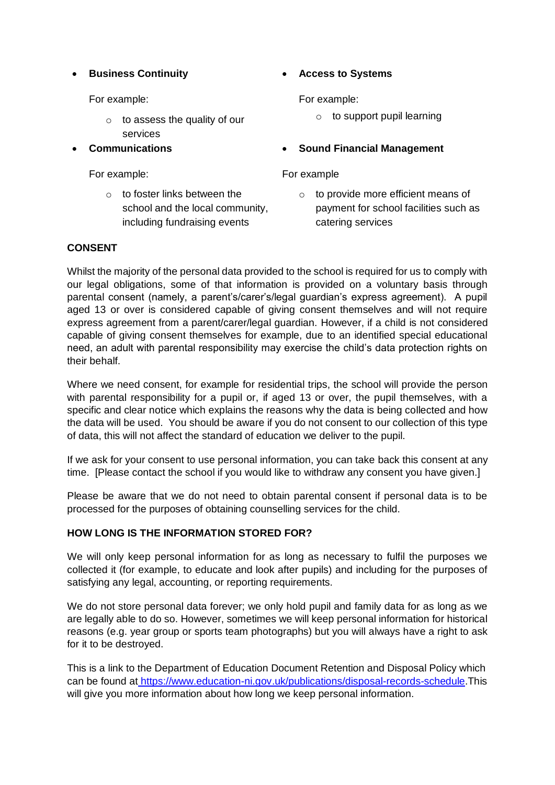## • **Business Continuity**

For example:

- $\circ$  to assess the quality of our services
- **Communications**

For example:

 $\circ$  to foster links between the school and the local community, including fundraising events

# • **Access to Systems**

For example:

- $\circ$  to support pupil learning
- **Sound Financial Management**

#### For example

o to provide more efficient means of payment for school facilities such as catering services

## **CONSENT**

Whilst the majority of the personal data provided to the school is required for us to comply with our legal obligations, some of that information is provided on a voluntary basis through parental consent (namely, a parent's/carer's/legal guardian's express agreement). A pupil aged 13 or over is considered capable of giving consent themselves and will not require express agreement from a parent/carer/legal guardian. However, if a child is not considered capable of giving consent themselves for example, due to an identified special educational need, an adult with parental responsibility may exercise the child's data protection rights on their behalf.

Where we need consent, for example for residential trips, the school will provide the person with parental responsibility for a pupil or, if aged 13 or over, the pupil themselves, with a specific and clear notice which explains the reasons why the data is being collected and how the data will be used. You should be aware if you do not consent to our collection of this type of data, this will not affect the standard of education we deliver to the pupil.

If we ask for your consent to use personal information, you can take back this consent at any time. [Please contact the school if you would like to withdraw any consent you have given.]

Please be aware that we do not need to obtain parental consent if personal data is to be processed for the purposes of obtaining counselling services for the child.

#### **HOW LONG IS THE INFORMATION STORED FOR?**

We will only keep personal information for as long as necessary to fulfil the purposes we collected it (for example, to educate and look after pupils) and including for the purposes of satisfying any legal, accounting, or reporting requirements.

We do not store personal data forever; we only hold pupil and family data for as long as we are legally able to do so. However, sometimes we will keep personal information for historical reasons (e.g. year group or sports team photographs) but you will always have a right to ask for it to be destroyed.

This is a link to the Department of Education Document Retention and Disposal Policy which can be found at [https://www.education-ni.gov.uk/publications/disposal-records-schedule.](https://www.education-ni.gov.uk/publications/disposal-records-schedule)This will give you more information about how long we keep personal information.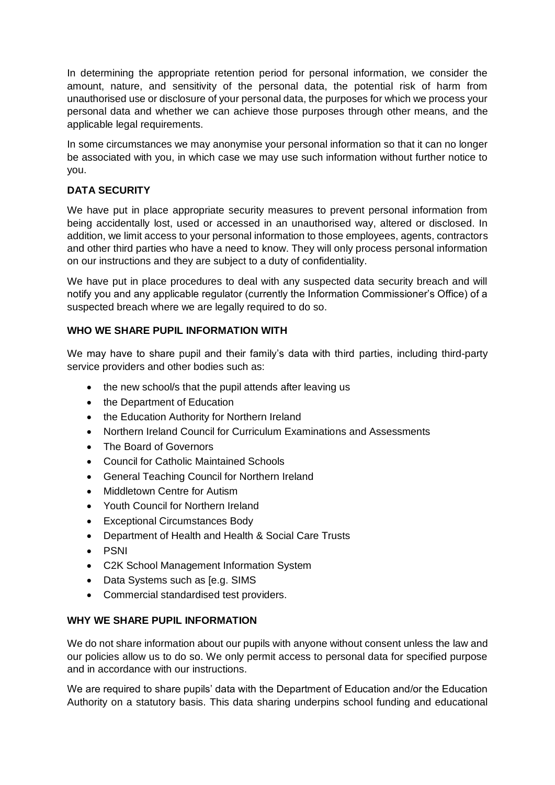In determining the appropriate retention period for personal information, we consider the amount, nature, and sensitivity of the personal data, the potential risk of harm from unauthorised use or disclosure of your personal data, the purposes for which we process your personal data and whether we can achieve those purposes through other means, and the applicable legal requirements.

In some circumstances we may anonymise your personal information so that it can no longer be associated with you, in which case we may use such information without further notice to you.

# **DATA SECURITY**

We have put in place appropriate security measures to prevent personal information from being accidentally lost, used or accessed in an unauthorised way, altered or disclosed. In addition, we limit access to your personal information to those employees, agents, contractors and other third parties who have a need to know. They will only process personal information on our instructions and they are subject to a duty of confidentiality.

We have put in place procedures to deal with any suspected data security breach and will notify you and any applicable regulator (currently the Information Commissioner's Office) of a suspected breach where we are legally required to do so.

## **WHO WE SHARE PUPIL INFORMATION WITH**

We may have to share pupil and their family's data with third parties, including third-party service providers and other bodies such as:

- the new school/s that the pupil attends after leaving us
- the Department of Education
- the Education Authority for Northern Ireland
- Northern Ireland Council for Curriculum Examinations and Assessments
- The Board of Governors
- Council for Catholic Maintained Schools
- General Teaching Council for Northern Ireland
- Middletown Centre for Autism
- Youth Council for Northern Ireland
- Exceptional Circumstances Body
- Department of Health and Health & Social Care Trusts
- PSNI
- C2K School Management Information System
- Data Systems such as [e.g. SIMS
- Commercial standardised test providers.

#### **WHY WE SHARE PUPIL INFORMATION**

We do not share information about our pupils with anyone without consent unless the law and our policies allow us to do so. We only permit access to personal data for specified purpose and in accordance with our instructions.

We are required to share pupils' data with the Department of Education and/or the Education Authority on a statutory basis. This data sharing underpins school funding and educational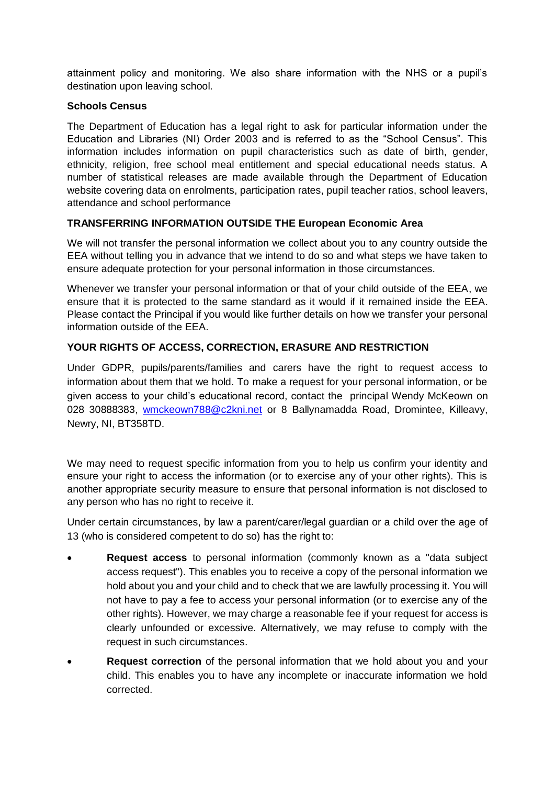attainment policy and monitoring. We also share information with the NHS or a pupil's destination upon leaving school.

#### **Schools Census**

The Department of Education has a legal right to ask for particular information under the Education and Libraries (NI) Order 2003 and is referred to as the "School Census". This information includes information on pupil characteristics such as date of birth, gender, ethnicity, religion, free school meal entitlement and special educational needs status. A number of statistical releases are made available through the Department of Education website covering data on enrolments, participation rates, pupil teacher ratios, school leavers, attendance and school performance

# **TRANSFERRING INFORMATION OUTSIDE THE European Economic Area**

We will not transfer the personal information we collect about you to any country outside the EEA without telling you in advance that we intend to do so and what steps we have taken to ensure adequate protection for your personal information in those circumstances.

Whenever we transfer your personal information or that of your child outside of the EEA, we ensure that it is protected to the same standard as it would if it remained inside the EEA. Please contact the Principal if you would like further details on how we transfer your personal information outside of the EEA.

## **YOUR RIGHTS OF ACCESS, CORRECTION, ERASURE AND RESTRICTION**

Under GDPR, pupils/parents/families and carers have the right to request access to information about them that we hold. To make a request for your personal information, or be given access to your child's educational record, contact the principal Wendy McKeown on 028 30888383, [wmckeown788@c2kni.net](mailto:wmckeown788@c2kni.net) or 8 Ballynamadda Road, Dromintee, Killeavy, Newry, NI, BT358TD.

We may need to request specific information from you to help us confirm your identity and ensure your right to access the information (or to exercise any of your other rights). This is another appropriate security measure to ensure that personal information is not disclosed to any person who has no right to receive it.

Under certain circumstances, by law a parent/carer/legal guardian or a child over the age of 13 (who is considered competent to do so) has the right to:

- **Request access** to personal information (commonly known as a "data subject access request"). This enables you to receive a copy of the personal information we hold about you and your child and to check that we are lawfully processing it. You will not have to pay a fee to access your personal information (or to exercise any of the other rights). However, we may charge a reasonable fee if your request for access is clearly unfounded or excessive. Alternatively, we may refuse to comply with the request in such circumstances.
- **Request correction** of the personal information that we hold about you and your child. This enables you to have any incomplete or inaccurate information we hold corrected.